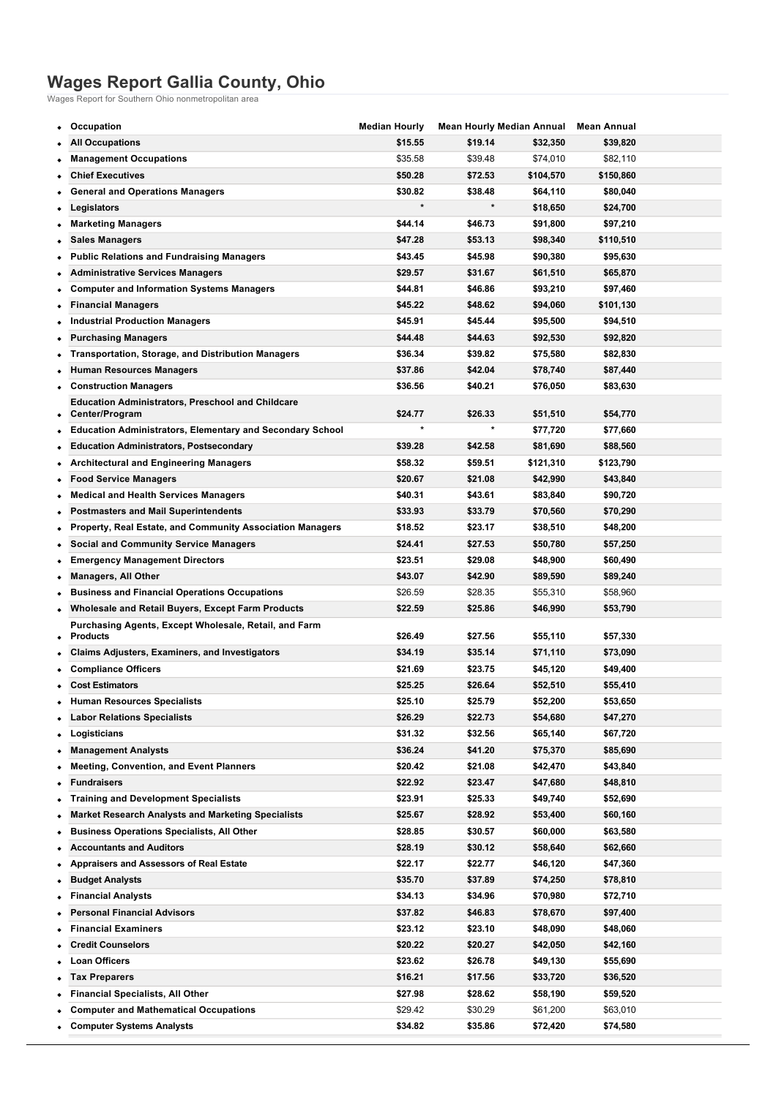## **Wages Report Gallia County, Ohio**

Wages Report for Southern Ohio nonmetropolitan area

| <b>All Occupations</b><br>\$15.55<br>\$19.14<br>\$32,350<br>\$39,820<br>\$35.58<br>\$39.48<br><b>Management Occupations</b><br>\$74,010<br>\$82,110<br><b>Chief Executives</b><br>\$50.28<br>\$72.53<br>\$104,570<br>\$150,860<br><b>General and Operations Managers</b><br>\$30.82<br>\$38.48<br>\$64,110<br>\$80,040<br>$\star$<br>$\star$<br>\$18,650<br>\$24,700<br>Legislators<br>٠<br>\$44.14<br><b>Marketing Managers</b><br>\$46.73<br>\$91,800<br>\$97,210<br>٠<br>\$47.28<br>\$53.13<br>\$98,340<br>\$110,510<br><b>Sales Managers</b><br><b>Public Relations and Fundraising Managers</b><br>\$43.45<br>\$45.98<br>\$90,380<br>\$95,630<br><b>Administrative Services Managers</b><br>\$29.57<br>\$31.67<br>\$61,510<br>\$65,870<br><b>Computer and Information Systems Managers</b><br>\$44.81<br>\$46.86<br>\$93,210<br>\$97,460<br>\$45.22<br>\$48.62<br><b>Financial Managers</b><br>\$94,060<br>\$101,130<br>\$45.91<br>\$45.44<br><b>Industrial Production Managers</b><br>\$95,500<br>\$94,510<br>٠<br><b>Purchasing Managers</b><br>\$44.48<br>\$44.63<br>\$92,530<br>\$92,820<br><b>Transportation, Storage, and Distribution Managers</b><br>\$36.34<br>\$39.82<br>\$75,580<br>\$82,830<br><b>Human Resources Managers</b><br>\$37.86<br>\$42.04<br>\$78,740<br>\$87,440<br><b>Construction Managers</b><br>\$36.56<br>\$40.21<br>\$83,630<br>\$76,050<br><b>Education Administrators, Preschool and Childcare</b><br>\$24.77<br>\$26.33<br>\$51,510 |  |
|---------------------------------------------------------------------------------------------------------------------------------------------------------------------------------------------------------------------------------------------------------------------------------------------------------------------------------------------------------------------------------------------------------------------------------------------------------------------------------------------------------------------------------------------------------------------------------------------------------------------------------------------------------------------------------------------------------------------------------------------------------------------------------------------------------------------------------------------------------------------------------------------------------------------------------------------------------------------------------------------------------------------------------------------------------------------------------------------------------------------------------------------------------------------------------------------------------------------------------------------------------------------------------------------------------------------------------------------------------------------------------------------------------------------------------------------------------------------------|--|
|                                                                                                                                                                                                                                                                                                                                                                                                                                                                                                                                                                                                                                                                                                                                                                                                                                                                                                                                                                                                                                                                                                                                                                                                                                                                                                                                                                                                                                                                           |  |
|                                                                                                                                                                                                                                                                                                                                                                                                                                                                                                                                                                                                                                                                                                                                                                                                                                                                                                                                                                                                                                                                                                                                                                                                                                                                                                                                                                                                                                                                           |  |
|                                                                                                                                                                                                                                                                                                                                                                                                                                                                                                                                                                                                                                                                                                                                                                                                                                                                                                                                                                                                                                                                                                                                                                                                                                                                                                                                                                                                                                                                           |  |
|                                                                                                                                                                                                                                                                                                                                                                                                                                                                                                                                                                                                                                                                                                                                                                                                                                                                                                                                                                                                                                                                                                                                                                                                                                                                                                                                                                                                                                                                           |  |
|                                                                                                                                                                                                                                                                                                                                                                                                                                                                                                                                                                                                                                                                                                                                                                                                                                                                                                                                                                                                                                                                                                                                                                                                                                                                                                                                                                                                                                                                           |  |
|                                                                                                                                                                                                                                                                                                                                                                                                                                                                                                                                                                                                                                                                                                                                                                                                                                                                                                                                                                                                                                                                                                                                                                                                                                                                                                                                                                                                                                                                           |  |
|                                                                                                                                                                                                                                                                                                                                                                                                                                                                                                                                                                                                                                                                                                                                                                                                                                                                                                                                                                                                                                                                                                                                                                                                                                                                                                                                                                                                                                                                           |  |
|                                                                                                                                                                                                                                                                                                                                                                                                                                                                                                                                                                                                                                                                                                                                                                                                                                                                                                                                                                                                                                                                                                                                                                                                                                                                                                                                                                                                                                                                           |  |
|                                                                                                                                                                                                                                                                                                                                                                                                                                                                                                                                                                                                                                                                                                                                                                                                                                                                                                                                                                                                                                                                                                                                                                                                                                                                                                                                                                                                                                                                           |  |
|                                                                                                                                                                                                                                                                                                                                                                                                                                                                                                                                                                                                                                                                                                                                                                                                                                                                                                                                                                                                                                                                                                                                                                                                                                                                                                                                                                                                                                                                           |  |
|                                                                                                                                                                                                                                                                                                                                                                                                                                                                                                                                                                                                                                                                                                                                                                                                                                                                                                                                                                                                                                                                                                                                                                                                                                                                                                                                                                                                                                                                           |  |
|                                                                                                                                                                                                                                                                                                                                                                                                                                                                                                                                                                                                                                                                                                                                                                                                                                                                                                                                                                                                                                                                                                                                                                                                                                                                                                                                                                                                                                                                           |  |
|                                                                                                                                                                                                                                                                                                                                                                                                                                                                                                                                                                                                                                                                                                                                                                                                                                                                                                                                                                                                                                                                                                                                                                                                                                                                                                                                                                                                                                                                           |  |
|                                                                                                                                                                                                                                                                                                                                                                                                                                                                                                                                                                                                                                                                                                                                                                                                                                                                                                                                                                                                                                                                                                                                                                                                                                                                                                                                                                                                                                                                           |  |
|                                                                                                                                                                                                                                                                                                                                                                                                                                                                                                                                                                                                                                                                                                                                                                                                                                                                                                                                                                                                                                                                                                                                                                                                                                                                                                                                                                                                                                                                           |  |
|                                                                                                                                                                                                                                                                                                                                                                                                                                                                                                                                                                                                                                                                                                                                                                                                                                                                                                                                                                                                                                                                                                                                                                                                                                                                                                                                                                                                                                                                           |  |
|                                                                                                                                                                                                                                                                                                                                                                                                                                                                                                                                                                                                                                                                                                                                                                                                                                                                                                                                                                                                                                                                                                                                                                                                                                                                                                                                                                                                                                                                           |  |
| Center/Program<br>\$54,770                                                                                                                                                                                                                                                                                                                                                                                                                                                                                                                                                                                                                                                                                                                                                                                                                                                                                                                                                                                                                                                                                                                                                                                                                                                                                                                                                                                                                                                |  |
| *<br><b>Education Administrators, Elementary and Secondary School</b><br>\$77,720<br>\$77,660                                                                                                                                                                                                                                                                                                                                                                                                                                                                                                                                                                                                                                                                                                                                                                                                                                                                                                                                                                                                                                                                                                                                                                                                                                                                                                                                                                             |  |
| <b>Education Administrators, Postsecondary</b><br>\$39.28<br>\$42.58<br>\$81,690<br>\$88,560<br>٠                                                                                                                                                                                                                                                                                                                                                                                                                                                                                                                                                                                                                                                                                                                                                                                                                                                                                                                                                                                                                                                                                                                                                                                                                                                                                                                                                                         |  |
| <b>Architectural and Engineering Managers</b><br>\$58.32<br>\$59.51<br>\$121,310<br>\$123,790                                                                                                                                                                                                                                                                                                                                                                                                                                                                                                                                                                                                                                                                                                                                                                                                                                                                                                                                                                                                                                                                                                                                                                                                                                                                                                                                                                             |  |
| <b>Food Service Managers</b><br>\$20.67<br>\$21.08<br>\$42,990<br>\$43,840                                                                                                                                                                                                                                                                                                                                                                                                                                                                                                                                                                                                                                                                                                                                                                                                                                                                                                                                                                                                                                                                                                                                                                                                                                                                                                                                                                                                |  |
| <b>Medical and Health Services Managers</b><br>\$40.31<br>\$43.61<br>\$90,720<br>\$83,840<br>٠                                                                                                                                                                                                                                                                                                                                                                                                                                                                                                                                                                                                                                                                                                                                                                                                                                                                                                                                                                                                                                                                                                                                                                                                                                                                                                                                                                            |  |
| <b>Postmasters and Mail Superintendents</b><br>\$33.93<br>\$33.79<br>\$70,560<br>\$70,290<br>٠                                                                                                                                                                                                                                                                                                                                                                                                                                                                                                                                                                                                                                                                                                                                                                                                                                                                                                                                                                                                                                                                                                                                                                                                                                                                                                                                                                            |  |
| <b>Property, Real Estate, and Community Association Managers</b><br>\$18.52<br>\$23.17<br>\$38,510<br>\$48,200<br>٠                                                                                                                                                                                                                                                                                                                                                                                                                                                                                                                                                                                                                                                                                                                                                                                                                                                                                                                                                                                                                                                                                                                                                                                                                                                                                                                                                       |  |
| <b>Social and Community Service Managers</b><br>\$24.41<br>\$27.53<br>\$50,780<br>\$57,250<br>٠                                                                                                                                                                                                                                                                                                                                                                                                                                                                                                                                                                                                                                                                                                                                                                                                                                                                                                                                                                                                                                                                                                                                                                                                                                                                                                                                                                           |  |
| \$23.51<br>\$29.08<br><b>Emergency Management Directors</b><br>\$48,900<br>\$60,490<br>٠                                                                                                                                                                                                                                                                                                                                                                                                                                                                                                                                                                                                                                                                                                                                                                                                                                                                                                                                                                                                                                                                                                                                                                                                                                                                                                                                                                                  |  |
| \$43.07<br>\$42.90<br><b>Managers, All Other</b><br>\$89,590<br>\$89,240<br>٠                                                                                                                                                                                                                                                                                                                                                                                                                                                                                                                                                                                                                                                                                                                                                                                                                                                                                                                                                                                                                                                                                                                                                                                                                                                                                                                                                                                             |  |
| \$26.59<br><b>Business and Financial Operations Occupations</b><br>\$28.35<br>\$55,310<br>\$58,960                                                                                                                                                                                                                                                                                                                                                                                                                                                                                                                                                                                                                                                                                                                                                                                                                                                                                                                                                                                                                                                                                                                                                                                                                                                                                                                                                                        |  |
| Wholesale and Retail Buyers, Except Farm Products<br>\$22.59<br>\$25.86<br>\$46,990<br>\$53,790                                                                                                                                                                                                                                                                                                                                                                                                                                                                                                                                                                                                                                                                                                                                                                                                                                                                                                                                                                                                                                                                                                                                                                                                                                                                                                                                                                           |  |
| Purchasing Agents, Except Wholesale, Retail, and Farm                                                                                                                                                                                                                                                                                                                                                                                                                                                                                                                                                                                                                                                                                                                                                                                                                                                                                                                                                                                                                                                                                                                                                                                                                                                                                                                                                                                                                     |  |
| <b>Products</b><br>\$26.49<br>\$27.56<br>\$55,110<br>\$57,330<br>٠                                                                                                                                                                                                                                                                                                                                                                                                                                                                                                                                                                                                                                                                                                                                                                                                                                                                                                                                                                                                                                                                                                                                                                                                                                                                                                                                                                                                        |  |
| Claims Adjusters, Examiners, and Investigators<br>\$34.19<br>\$35.14<br>\$71,110<br>\$73,090                                                                                                                                                                                                                                                                                                                                                                                                                                                                                                                                                                                                                                                                                                                                                                                                                                                                                                                                                                                                                                                                                                                                                                                                                                                                                                                                                                              |  |
| <b>Compliance Officers</b><br>\$21.69<br>\$23.75<br>\$49,400<br>\$45,120                                                                                                                                                                                                                                                                                                                                                                                                                                                                                                                                                                                                                                                                                                                                                                                                                                                                                                                                                                                                                                                                                                                                                                                                                                                                                                                                                                                                  |  |
| \$25.25<br>\$26.64<br><b>Cost Estimators</b><br>\$52,510<br>\$55,410                                                                                                                                                                                                                                                                                                                                                                                                                                                                                                                                                                                                                                                                                                                                                                                                                                                                                                                                                                                                                                                                                                                                                                                                                                                                                                                                                                                                      |  |
| \$25.10<br>\$25.79<br>\$52,200<br>\$53,650<br><b>Human Resources Specialists</b>                                                                                                                                                                                                                                                                                                                                                                                                                                                                                                                                                                                                                                                                                                                                                                                                                                                                                                                                                                                                                                                                                                                                                                                                                                                                                                                                                                                          |  |
| \$26.29<br>\$22.73<br><b>Labor Relations Specialists</b><br>\$54,680<br>\$47,270                                                                                                                                                                                                                                                                                                                                                                                                                                                                                                                                                                                                                                                                                                                                                                                                                                                                                                                                                                                                                                                                                                                                                                                                                                                                                                                                                                                          |  |
| \$31.32<br>\$32.56<br>\$67,720<br>Logisticians<br>\$65,140                                                                                                                                                                                                                                                                                                                                                                                                                                                                                                                                                                                                                                                                                                                                                                                                                                                                                                                                                                                                                                                                                                                                                                                                                                                                                                                                                                                                                |  |
| <b>Management Analysts</b><br>\$36.24<br>\$41.20<br>\$85,690<br>\$75,370                                                                                                                                                                                                                                                                                                                                                                                                                                                                                                                                                                                                                                                                                                                                                                                                                                                                                                                                                                                                                                                                                                                                                                                                                                                                                                                                                                                                  |  |
| <b>Meeting, Convention, and Event Planners</b><br>\$20.42<br>\$21.08<br>\$43,840<br>\$42,470                                                                                                                                                                                                                                                                                                                                                                                                                                                                                                                                                                                                                                                                                                                                                                                                                                                                                                                                                                                                                                                                                                                                                                                                                                                                                                                                                                              |  |
| \$22.92<br>\$23.47<br>\$48,810<br><b>Fundraisers</b><br>\$47,680                                                                                                                                                                                                                                                                                                                                                                                                                                                                                                                                                                                                                                                                                                                                                                                                                                                                                                                                                                                                                                                                                                                                                                                                                                                                                                                                                                                                          |  |
| <b>Training and Development Specialists</b><br>\$23.91<br>\$25.33<br>\$49,740<br>\$52,690                                                                                                                                                                                                                                                                                                                                                                                                                                                                                                                                                                                                                                                                                                                                                                                                                                                                                                                                                                                                                                                                                                                                                                                                                                                                                                                                                                                 |  |
| <b>Market Research Analysts and Marketing Specialists</b><br>\$25.67<br>\$28.92<br>\$53,400<br>\$60,160                                                                                                                                                                                                                                                                                                                                                                                                                                                                                                                                                                                                                                                                                                                                                                                                                                                                                                                                                                                                                                                                                                                                                                                                                                                                                                                                                                   |  |
| <b>Business Operations Specialists, All Other</b><br>\$28.85<br>\$30.57<br>\$60,000<br>\$63,580                                                                                                                                                                                                                                                                                                                                                                                                                                                                                                                                                                                                                                                                                                                                                                                                                                                                                                                                                                                                                                                                                                                                                                                                                                                                                                                                                                           |  |
| <b>Accountants and Auditors</b><br>\$28.19<br>\$30.12<br>\$58,640<br>\$62,660                                                                                                                                                                                                                                                                                                                                                                                                                                                                                                                                                                                                                                                                                                                                                                                                                                                                                                                                                                                                                                                                                                                                                                                                                                                                                                                                                                                             |  |
| <b>Appraisers and Assessors of Real Estate</b><br>\$22.17<br>\$22.77<br>\$46,120<br>\$47,360                                                                                                                                                                                                                                                                                                                                                                                                                                                                                                                                                                                                                                                                                                                                                                                                                                                                                                                                                                                                                                                                                                                                                                                                                                                                                                                                                                              |  |
| \$35.70<br>\$37.89<br><b>Budget Analysts</b><br>\$74,250<br>\$78,810<br>٠                                                                                                                                                                                                                                                                                                                                                                                                                                                                                                                                                                                                                                                                                                                                                                                                                                                                                                                                                                                                                                                                                                                                                                                                                                                                                                                                                                                                 |  |
| <b>Financial Analysts</b><br>\$34.13<br>\$34.96<br>\$70,980<br>\$72,710                                                                                                                                                                                                                                                                                                                                                                                                                                                                                                                                                                                                                                                                                                                                                                                                                                                                                                                                                                                                                                                                                                                                                                                                                                                                                                                                                                                                   |  |
| <b>Personal Financial Advisors</b><br>\$37.82<br>\$46.83<br>\$97,400<br>\$78,670                                                                                                                                                                                                                                                                                                                                                                                                                                                                                                                                                                                                                                                                                                                                                                                                                                                                                                                                                                                                                                                                                                                                                                                                                                                                                                                                                                                          |  |
| <b>Financial Examiners</b><br>\$23.12<br>\$23.10<br>\$48,090<br>\$48,060                                                                                                                                                                                                                                                                                                                                                                                                                                                                                                                                                                                                                                                                                                                                                                                                                                                                                                                                                                                                                                                                                                                                                                                                                                                                                                                                                                                                  |  |
| <b>Credit Counselors</b><br>\$20.22<br>\$20.27<br>\$42,050<br>\$42,160                                                                                                                                                                                                                                                                                                                                                                                                                                                                                                                                                                                                                                                                                                                                                                                                                                                                                                                                                                                                                                                                                                                                                                                                                                                                                                                                                                                                    |  |
| <b>Loan Officers</b><br>\$23.62<br>\$26.78<br>\$49,130<br>\$55,690                                                                                                                                                                                                                                                                                                                                                                                                                                                                                                                                                                                                                                                                                                                                                                                                                                                                                                                                                                                                                                                                                                                                                                                                                                                                                                                                                                                                        |  |
| \$16.21<br>\$17.56<br><b>Tax Preparers</b><br>\$33,720<br>\$36,520                                                                                                                                                                                                                                                                                                                                                                                                                                                                                                                                                                                                                                                                                                                                                                                                                                                                                                                                                                                                                                                                                                                                                                                                                                                                                                                                                                                                        |  |
| <b>Financial Specialists, All Other</b><br>\$27.98<br>\$28.62<br>\$58,190<br>\$59,520                                                                                                                                                                                                                                                                                                                                                                                                                                                                                                                                                                                                                                                                                                                                                                                                                                                                                                                                                                                                                                                                                                                                                                                                                                                                                                                                                                                     |  |
| <b>Computer and Mathematical Occupations</b><br>\$29.42<br>\$30.29<br>\$61,200<br>\$63,010                                                                                                                                                                                                                                                                                                                                                                                                                                                                                                                                                                                                                                                                                                                                                                                                                                                                                                                                                                                                                                                                                                                                                                                                                                                                                                                                                                                |  |
| <b>Computer Systems Analysts</b><br>\$34.82<br>\$35.86<br>\$72,420<br>\$74,580                                                                                                                                                                                                                                                                                                                                                                                                                                                                                                                                                                                                                                                                                                                                                                                                                                                                                                                                                                                                                                                                                                                                                                                                                                                                                                                                                                                            |  |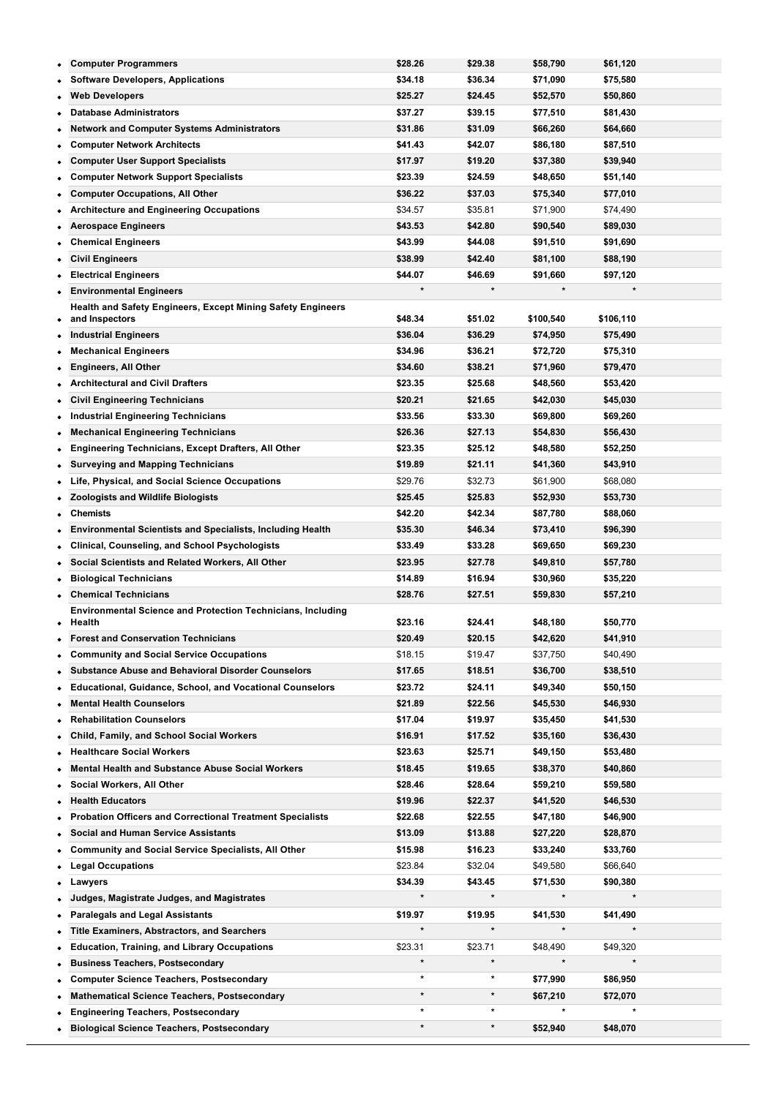|   | <b>Computer Programmers</b>                                                  | \$28.26 | \$29.38 | \$58,790             | \$61,120  |
|---|------------------------------------------------------------------------------|---------|---------|----------------------|-----------|
|   | <b>Software Developers, Applications</b>                                     | \$34.18 | \$36.34 | \$71,090             | \$75,580  |
|   | <b>Web Developers</b>                                                        | \$25.27 | \$24.45 | \$52,570             | \$50,860  |
|   | <b>Database Administrators</b>                                               | \$37.27 | \$39.15 | \$77,510             | \$81,430  |
| ٠ | Network and Computer Systems Administrators                                  | \$31.86 | \$31.09 | \$66,260             | \$64,660  |
|   | <b>Computer Network Architects</b>                                           | \$41.43 | \$42.07 | \$86,180             | \$87,510  |
|   | <b>Computer User Support Specialists</b>                                     | \$17.97 | \$19.20 | \$37,380             | \$39,940  |
| ٠ | <b>Computer Network Support Specialists</b>                                  | \$23.39 | \$24.59 | \$48,650             | \$51,140  |
|   | <b>Computer Occupations, All Other</b>                                       | \$36.22 | \$37.03 | \$75,340             | \$77,010  |
| ٠ | <b>Architecture and Engineering Occupations</b>                              | \$34.57 | \$35.81 | \$71,900             | \$74,490  |
| ٠ | <b>Aerospace Engineers</b>                                                   | \$43.53 | \$42.80 | \$90,540             | \$89,030  |
|   | <b>Chemical Engineers</b>                                                    | \$43.99 | \$44.08 | \$91,510             | \$91,690  |
|   | <b>Civil Engineers</b>                                                       | \$38.99 | \$42.40 | \$81,100             | \$88,190  |
|   | <b>Electrical Engineers</b>                                                  | \$44.07 | \$46.69 | \$91,660             | \$97,120  |
| ٠ | <b>Environmental Engineers</b>                                               | $\star$ | $\star$ |                      |           |
|   | Health and Safety Engineers, Except Mining Safety Engineers                  |         |         |                      |           |
| ٠ | and Inspectors                                                               | \$48.34 | \$51.02 | \$100,540            | \$106,110 |
| ٠ | <b>Industrial Engineers</b>                                                  | \$36.04 | \$36.29 | \$74,950             | \$75,490  |
| ۰ | <b>Mechanical Engineers</b>                                                  | \$34.96 | \$36.21 | \$72,720             | \$75,310  |
| ٠ | <b>Engineers, All Other</b>                                                  | \$34.60 | \$38.21 | \$71,960             | \$79,470  |
|   | <b>Architectural and Civil Drafters</b>                                      | \$23.35 | \$25.68 | \$48,560             | \$53,420  |
|   | <b>Civil Engineering Technicians</b>                                         | \$20.21 | \$21.65 | \$42,030             | \$45,030  |
| ٠ | <b>Industrial Engineering Technicians</b>                                    | \$33.56 | \$33.30 | \$69,800             | \$69,260  |
|   | <b>Mechanical Engineering Technicians</b>                                    | \$26.36 | \$27.13 | \$54,830             | \$56,430  |
| ٠ | <b>Engineering Technicians, Except Drafters, All Other</b>                   | \$23.35 | \$25.12 | \$48,580             | \$52,250  |
| ٠ | <b>Surveying and Mapping Technicians</b>                                     | \$19.89 | \$21.11 | \$41,360             | \$43,910  |
| ٠ | Life, Physical, and Social Science Occupations                               | \$29.76 | \$32.73 | \$61,900             | \$68,080  |
|   | <b>Zoologists and Wildlife Biologists</b>                                    | \$25.45 | \$25.83 | \$52,930             | \$53,730  |
|   | <b>Chemists</b>                                                              | \$42.20 | \$42.34 | \$87,780             |           |
| ٠ |                                                                              | \$35.30 | \$46.34 |                      | \$88,060  |
|   | <b>Environmental Scientists and Specialists, Including Health</b>            | \$33.49 | \$33.28 | \$73,410             | \$96,390  |
| ٠ | <b>Clinical, Counseling, and School Psychologists</b>                        |         |         | \$69,650             | \$69,230  |
| ٠ | Social Scientists and Related Workers, All Other                             | \$23.95 | \$27.78 | \$49,810             | \$57,780  |
| ٠ | <b>Biological Technicians</b>                                                | \$14.89 | \$16.94 | \$30,960             | \$35,220  |
|   | <b>Chemical Technicians</b>                                                  | \$28.76 | \$27.51 | \$59,830             | \$57,210  |
| ٠ | <b>Environmental Science and Protection Technicians, Including</b><br>Health | \$23.16 | \$24.41 | \$48,180             | \$50,770  |
|   | <b>Forest and Conservation Technicians</b>                                   | \$20.49 | \$20.15 | \$42,620             | \$41,910  |
| ٠ | <b>Community and Social Service Occupations</b>                              | \$18.15 | \$19.47 | \$37,750             | \$40,490  |
|   | <b>Substance Abuse and Behavioral Disorder Counselors</b>                    | \$17.65 | \$18.51 | \$36,700             | \$38,510  |
| ٠ | <b>Educational, Guidance, School, and Vocational Counselors</b>              | \$23.72 | \$24.11 | \$49,340             | \$50,150  |
|   | <b>Mental Health Counselors</b>                                              | \$21.89 | \$22.56 | \$45,530             | \$46,930  |
|   | <b>Rehabilitation Counselors</b>                                             | \$17.04 | \$19.97 | \$35,450             | \$41,530  |
|   |                                                                              | \$16.91 |         |                      |           |
|   | Child, Family, and School Social Workers<br><b>Healthcare Social Workers</b> |         | \$17.52 | \$35,160             | \$36,430  |
| ٠ |                                                                              | \$23.63 | \$25.71 | \$49,150<br>\$38,370 | \$53,480  |
|   | <b>Mental Health and Substance Abuse Social Workers</b>                      | \$18.45 | \$19.65 |                      | \$40,860  |
|   | Social Workers, All Other                                                    | \$28.46 | \$28.64 | \$59,210             | \$59,580  |
| ٠ | <b>Health Educators</b>                                                      | \$19.96 | \$22.37 | \$41,520             | \$46,530  |
|   | <b>Probation Officers and Correctional Treatment Specialists</b>             | \$22.68 | \$22.55 | \$47,180             | \$46,900  |
| ٠ | <b>Social and Human Service Assistants</b>                                   | \$13.09 | \$13.88 | \$27,220             | \$28,870  |
| ٠ | <b>Community and Social Service Specialists, All Other</b>                   | \$15.98 | \$16.23 | \$33,240             | \$33,760  |
|   | <b>Legal Occupations</b>                                                     | \$23.84 | \$32.04 | \$49,580             | \$66,640  |
| ٠ | Lawyers                                                                      | \$34.39 | \$43.45 | \$71,530             | \$90,380  |
| ٠ | Judges, Magistrate Judges, and Magistrates                                   | $\star$ | $\star$ | $\star$              |           |
|   | <b>Paralegals and Legal Assistants</b>                                       | \$19.97 | \$19.95 | \$41,530             | \$41,490  |
|   | <b>Title Examiners, Abstractors, and Searchers</b>                           | $\star$ | $\star$ | $\star$              | $\star$   |
| ٠ | <b>Education, Training, and Library Occupations</b>                          | \$23.31 | \$23.71 | \$48,490             | \$49,320  |
|   | <b>Business Teachers, Postsecondary</b>                                      | $\star$ | $\star$ |                      | $\star$   |
|   | <b>Computer Science Teachers, Postsecondary</b>                              | *       | $\star$ | \$77,990             | \$86,950  |
|   | <b>Mathematical Science Teachers, Postsecondary</b>                          | $\star$ | $\ast$  | \$67,210             | \$72,070  |
| ۰ | <b>Engineering Teachers, Postsecondary</b>                                   | *       | $\star$ |                      |           |
|   | <b>Biological Science Teachers, Postsecondary</b>                            | $\star$ | $\star$ | \$52,940             | \$48,070  |

**Chemistry Teachers, Postsecondary \* \* \$70,690 \$72,500**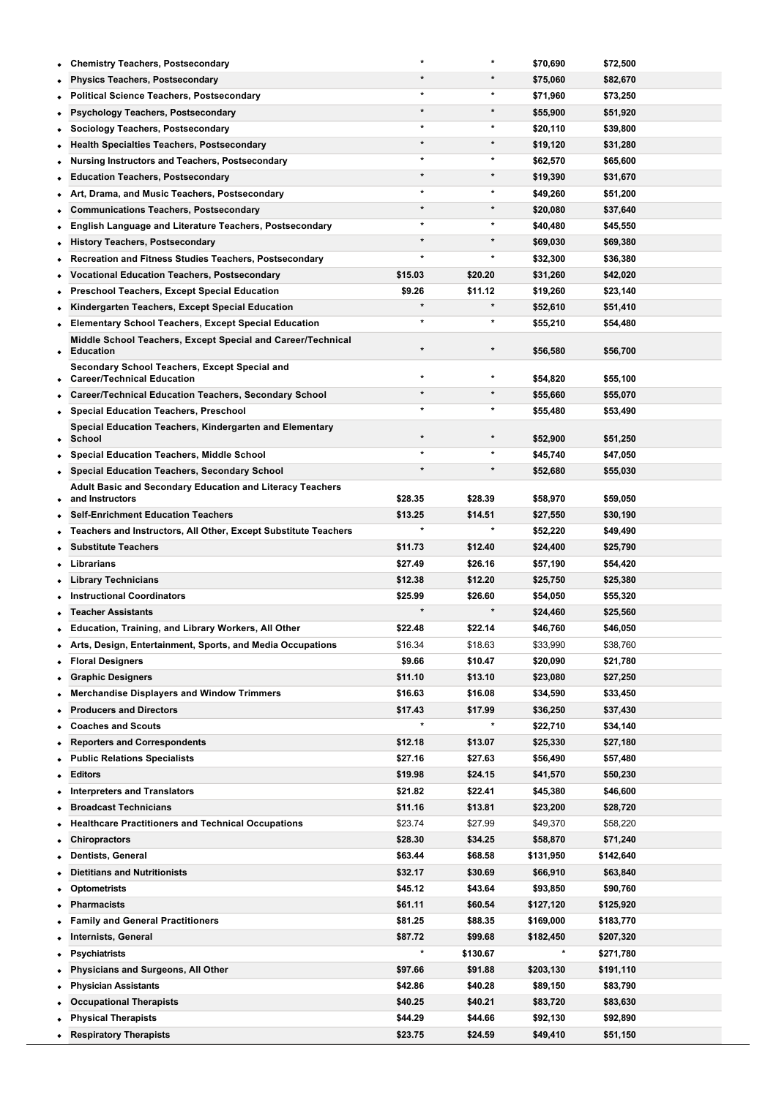| ٠         | <b>Chemistry Teachers, Postsecondary</b>                          | $\star$ | $\star$  | \$70,690  | \$72,500  |  |
|-----------|-------------------------------------------------------------------|---------|----------|-----------|-----------|--|
|           | <b>Physics Teachers, Postsecondary</b>                            | $\star$ | $\star$  | \$75,060  | \$82,670  |  |
|           | <b>Political Science Teachers, Postsecondary</b>                  | $\star$ | *        | \$71,960  | \$73,250  |  |
|           | <b>Psychology Teachers, Postsecondary</b>                         | $\star$ | $\star$  | \$55,900  | \$51,920  |  |
| ٠         | Sociology Teachers, Postsecondary                                 | $\star$ | $\ast$   | \$20,110  | \$39,800  |  |
|           | <b>Health Specialties Teachers, Postsecondary</b>                 | $\star$ | $\star$  | \$19,120  | \$31,280  |  |
|           | Nursing Instructors and Teachers, Postsecondary                   |         | *        | \$62,570  | \$65,600  |  |
|           | <b>Education Teachers, Postsecondary</b>                          | $\star$ | $\star$  | \$19,390  | \$31,670  |  |
| ٠         | Art, Drama, and Music Teachers, Postsecondary                     | $\star$ | *        | \$49,260  | \$51,200  |  |
|           | <b>Communications Teachers, Postsecondary</b>                     | $\star$ | $\star$  | \$20,080  | \$37,640  |  |
| ٠         | English Language and Literature Teachers, Postsecondary           | $\star$ | $\ast$   | \$40,480  | \$45,550  |  |
| ٠         | <b>History Teachers, Postsecondary</b>                            | $\star$ | $\star$  | \$69,030  | \$69,380  |  |
|           | Recreation and Fitness Studies Teachers, Postsecondary            | $\star$ | *        | \$32,300  | \$36,380  |  |
|           | <b>Vocational Education Teachers, Postsecondary</b>               | \$15.03 | \$20.20  | \$31,260  | \$42,020  |  |
|           | <b>Preschool Teachers, Except Special Education</b>               | \$9.26  | \$11.12  | \$19,260  | \$23,140  |  |
|           | Kindergarten Teachers, Except Special Education                   | $\star$ | *        | \$52,610  | \$51,410  |  |
|           | <b>Elementary School Teachers, Except Special Education</b>       | $\star$ | $\ast$   | \$55,210  | \$54,480  |  |
|           | Middle School Teachers, Except Special and Career/Technical       |         |          |           |           |  |
| $\bullet$ | <b>Education</b>                                                  | $\star$ | $^\star$ | \$56,580  | \$56,700  |  |
|           | Secondary School Teachers, Except Special and                     |         | *        |           |           |  |
| ٠         | <b>Career/Technical Education</b>                                 | $\star$ | $\star$  | \$54,820  | \$55,100  |  |
|           | Career/Technical Education Teachers, Secondary School             |         | *        | \$55,660  | \$55,070  |  |
|           | <b>Special Education Teachers, Preschool</b>                      |         |          | \$55,480  | \$53,490  |  |
| ٠         | Special Education Teachers, Kindergarten and Elementary<br>School | $\star$ | $^\star$ | \$52,900  | \$51,250  |  |
| ٠         | <b>Special Education Teachers, Middle School</b>                  | $\star$ | *        | \$45,740  | \$47,050  |  |
|           | <b>Special Education Teachers, Secondary School</b>               | $\star$ | $\ast$   | \$52,680  | \$55,030  |  |
|           | Adult Basic and Secondary Education and Literacy Teachers         |         |          |           |           |  |
| ٠         | and Instructors                                                   | \$28.35 | \$28.39  | \$58,970  | \$59,050  |  |
| ٠         | <b>Self-Enrichment Education Teachers</b>                         | \$13.25 | \$14.51  | \$27,550  | \$30,190  |  |
| ٠         | Teachers and Instructors, All Other, Except Substitute Teachers   |         | $\star$  | \$52,220  | \$49,490  |  |
|           | <b>Substitute Teachers</b>                                        | \$11.73 | \$12.40  | \$24,400  | \$25,790  |  |
| $\bullet$ | Librarians                                                        | \$27.49 | \$26.16  | \$57,190  | \$54,420  |  |
| ٠         | <b>Library Technicians</b>                                        | \$12.38 | \$12.20  | \$25,750  | \$25,380  |  |
|           | <b>Instructional Coordinators</b>                                 | \$25.99 | \$26.60  | \$54,050  | \$55,320  |  |
|           | <b>Teacher Assistants</b>                                         |         |          | \$24,460  | \$25,560  |  |
|           | Education, Training, and Library Workers, All Other               | \$22.48 | \$22.14  | \$46,760  | \$46,050  |  |
|           | Arts, Design, Entertainment, Sports, and Media Occupations        | \$16.34 | \$18.63  | \$33,990  | \$38,760  |  |
|           | <b>Floral Designers</b>                                           | \$9.66  | \$10.47  | \$20,090  | \$21,780  |  |
|           | <b>Graphic Designers</b>                                          | \$11.10 | \$13.10  | \$23,080  | \$27,250  |  |
| ٠         | <b>Merchandise Displayers and Window Trimmers</b>                 | \$16.63 | \$16.08  | \$34,590  | \$33,450  |  |
|           | <b>Producers and Directors</b>                                    | \$17.43 | \$17.99  | \$36,250  | \$37,430  |  |
|           | <b>Coaches and Scouts</b>                                         |         | *        | \$22,710  | \$34,140  |  |
| ٠         | <b>Reporters and Correspondents</b>                               | \$12.18 | \$13.07  | \$25,330  | \$27,180  |  |
|           | <b>Public Relations Specialists</b>                               | \$27.16 | \$27.63  | \$56,490  | \$57,480  |  |
| ٠         | <b>Editors</b>                                                    | \$19.98 | \$24.15  | \$41,570  | \$50,230  |  |
| ٠         | <b>Interpreters and Translators</b>                               | \$21.82 | \$22.41  | \$45,380  | \$46,600  |  |
|           | <b>Broadcast Technicians</b>                                      | \$11.16 | \$13.81  | \$23,200  | \$28,720  |  |
|           | <b>Healthcare Practitioners and Technical Occupations</b>         | \$23.74 | \$27.99  | \$49,370  | \$58,220  |  |
| ٠         | Chiropractors                                                     | \$28.30 | \$34.25  | \$58,870  | \$71,240  |  |
|           | <b>Dentists, General</b>                                          | \$63.44 | \$68.58  | \$131,950 | \$142,640 |  |
|           | <b>Dietitians and Nutritionists</b>                               | \$32.17 | \$30.69  | \$66,910  | \$63,840  |  |
| ٠         | <b>Optometrists</b>                                               | \$45.12 | \$43.64  | \$93,850  | \$90,760  |  |
| ٠         | <b>Pharmacists</b>                                                | \$61.11 | \$60.54  | \$127,120 | \$125,920 |  |
|           | <b>Family and General Practitioners</b>                           | \$81.25 | \$88.35  | \$169,000 | \$183,770 |  |
|           | Internists, General                                               | \$87.72 | \$99.68  | \$182,450 | \$207,320 |  |
|           | <b>Psychiatrists</b>                                              |         | \$130.67 | $\ast$    | \$271,780 |  |
|           | Physicians and Surgeons, All Other                                | \$97.66 | \$91.88  | \$203,130 | \$191,110 |  |
| ۰         | <b>Physician Assistants</b>                                       | \$42.86 | \$40.28  | \$89,150  | \$83,790  |  |
| ٠         | <b>Occupational Therapists</b>                                    | \$40.25 | \$40.21  | \$83,720  | \$83,630  |  |
|           | <b>Physical Therapists</b>                                        | \$44.29 | \$44.66  | \$92,130  | \$92,890  |  |
|           | <b>Respiratory Therapists</b>                                     | \$23.75 | \$24.59  | \$49,410  | \$51,150  |  |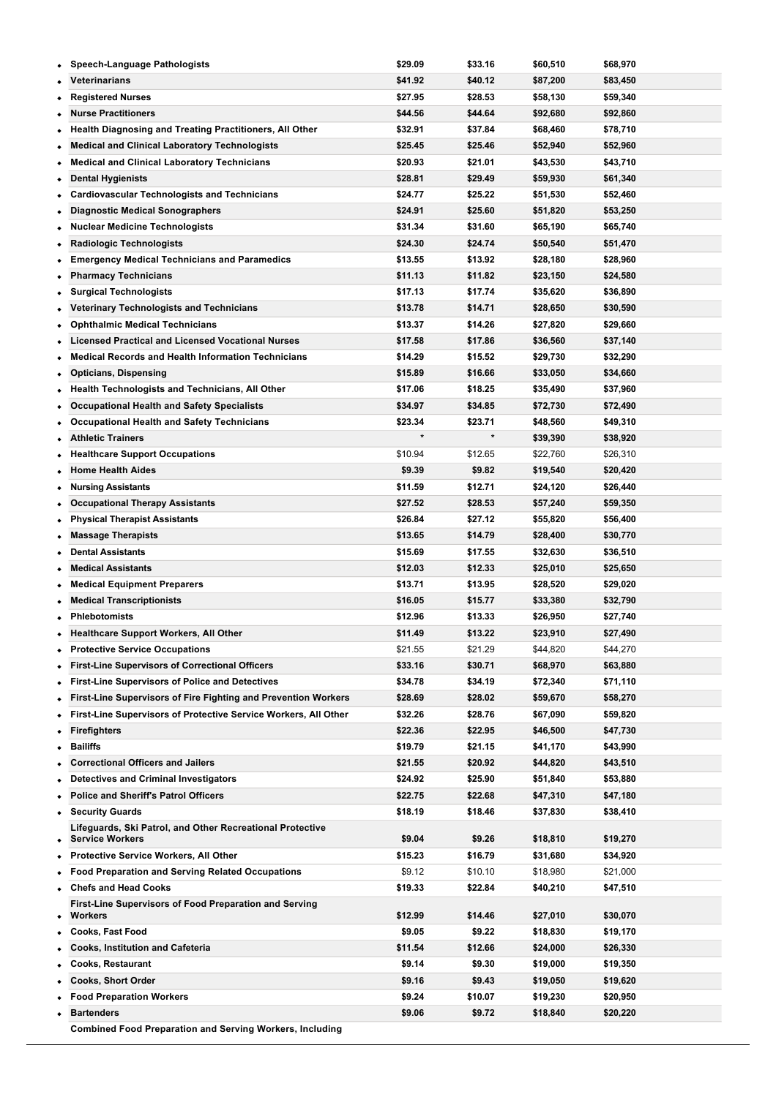| ٠         | <b>Speech-Language Pathologists</b>                                                 | \$29.09 | \$33.16 | \$60,510 | \$68,970 |
|-----------|-------------------------------------------------------------------------------------|---------|---------|----------|----------|
|           | Veterinarians                                                                       | \$41.92 | \$40.12 | \$87,200 | \$83,450 |
|           | <b>Registered Nurses</b>                                                            | \$27.95 | \$28.53 | \$58,130 | \$59,340 |
|           | <b>Nurse Practitioners</b>                                                          | \$44.56 | \$44.64 | \$92,680 | \$92,860 |
| ٠         | Health Diagnosing and Treating Practitioners, All Other                             | \$32.91 | \$37.84 | \$68,460 | \$78,710 |
|           | <b>Medical and Clinical Laboratory Technologists</b>                                | \$25.45 | \$25.46 | \$52,940 | \$52,960 |
| ٠         | <b>Medical and Clinical Laboratory Technicians</b>                                  | \$20.93 | \$21.01 | \$43,530 | \$43,710 |
| ٠         | <b>Dental Hygienists</b>                                                            | \$28.81 | \$29.49 | \$59,930 | \$61,340 |
| ٠         | <b>Cardiovascular Technologists and Technicians</b>                                 | \$24.77 | \$25.22 | \$51,530 | \$52,460 |
| ٠         | <b>Diagnostic Medical Sonographers</b>                                              | \$24.91 | \$25.60 | \$51,820 | \$53,250 |
| ٠         | <b>Nuclear Medicine Technologists</b>                                               | \$31.34 | \$31.60 | \$65,190 | \$65,740 |
|           | <b>Radiologic Technologists</b>                                                     | \$24.30 | \$24.74 | \$50,540 | \$51,470 |
|           | <b>Emergency Medical Technicians and Paramedics</b>                                 | \$13.55 | \$13.92 | \$28,180 | \$28,960 |
| ٠         | <b>Pharmacy Technicians</b>                                                         | \$11.13 | \$11.82 | \$23,150 | \$24,580 |
|           | <b>Surgical Technologists</b>                                                       | \$17.13 | \$17.74 | \$35,620 | \$36,890 |
|           | Veterinary Technologists and Technicians                                            | \$13.78 | \$14.71 | \$28,650 | \$30,590 |
| ٠         | <b>Ophthalmic Medical Technicians</b>                                               | \$13.37 | \$14.26 | \$27,820 | \$29,660 |
|           | <b>Licensed Practical and Licensed Vocational Nurses</b>                            | \$17.58 | \$17.86 | \$36,560 | \$37,140 |
| ٠         | <b>Medical Records and Health Information Technicians</b>                           | \$14.29 | \$15.52 | \$29,730 | \$32,290 |
| ٠         | <b>Opticians, Dispensing</b>                                                        | \$15.89 | \$16.66 | \$33,050 | \$34,660 |
| ٠         | Health Technologists and Technicians, All Other                                     | \$17.06 | \$18.25 | \$35,490 | \$37,960 |
| ٠         | <b>Occupational Health and Safety Specialists</b>                                   | \$34.97 | \$34.85 | \$72,730 | \$72,490 |
| ٠         | <b>Occupational Health and Safety Technicians</b>                                   | \$23.34 | \$23.71 | \$48,560 | \$49,310 |
| ٠         | <b>Athletic Trainers</b>                                                            | $\star$ | $\star$ | \$39,390 | \$38,920 |
|           | <b>Healthcare Support Occupations</b>                                               | \$10.94 | \$12.65 | \$22,760 | \$26,310 |
|           | <b>Home Health Aides</b>                                                            | \$9.39  | \$9.82  | \$19,540 | \$20,420 |
| ٠         | <b>Nursing Assistants</b>                                                           | \$11.59 | \$12.71 | \$24,120 | \$26,440 |
| ٠         |                                                                                     | \$27.52 | \$28.53 |          |          |
|           | <b>Occupational Therapy Assistants</b>                                              |         |         | \$57,240 | \$59,350 |
|           | <b>Physical Therapist Assistants</b>                                                | \$26.84 | \$27.12 | \$55,820 | \$56,400 |
| ٠         | <b>Massage Therapists</b>                                                           | \$13.65 | \$14.79 | \$28,400 | \$30,770 |
|           | <b>Dental Assistants</b>                                                            | \$15.69 | \$17.55 | \$32,630 | \$36,510 |
|           | <b>Medical Assistants</b>                                                           | \$12.03 | \$12.33 | \$25,010 | \$25,650 |
| ٠         | <b>Medical Equipment Preparers</b>                                                  | \$13.71 | \$13.95 | \$28,520 | \$29,020 |
|           | <b>Medical Transcriptionists</b>                                                    | \$16.05 | \$15.77 | \$33,380 | \$32,790 |
|           | <b>Phlebotomists</b>                                                                | \$12.96 | \$13.33 | \$26,950 | \$27,740 |
| ۰         | <b>Healthcare Support Workers, All Other</b>                                        | \$11.49 | \$13.22 | \$23,910 | \$27,490 |
| ٠         | <b>Protective Service Occupations</b>                                               | \$21.55 | \$21.29 | \$44,820 | \$44,270 |
|           | <b>First-Line Supervisors of Correctional Officers</b>                              | \$33.16 | \$30.71 | \$68,970 | \$63,880 |
| ٠         | <b>First-Line Supervisors of Police and Detectives</b>                              | \$34.78 | \$34.19 | \$72,340 | \$71,110 |
| ٠         | First-Line Supervisors of Fire Fighting and Prevention Workers                      | \$28.69 | \$28.02 | \$59,670 | \$58,270 |
| ٠         | First-Line Supervisors of Protective Service Workers, All Other                     | \$32.26 | \$28.76 | \$67,090 | \$59,820 |
| ٠         | <b>Firefighters</b>                                                                 | \$22.36 | \$22.95 | \$46,500 | \$47,730 |
| ٠         | <b>Bailiffs</b>                                                                     | \$19.79 | \$21.15 | \$41,170 | \$43,990 |
|           | <b>Correctional Officers and Jailers</b>                                            | \$21.55 | \$20.92 | \$44,820 | \$43,510 |
|           | <b>Detectives and Criminal Investigators</b>                                        | \$24.92 | \$25.90 | \$51,840 | \$53,880 |
| ٠         | <b>Police and Sheriff's Patrol Officers</b>                                         | \$22.75 | \$22.68 | \$47,310 | \$47,180 |
| ٠         | <b>Security Guards</b>                                                              | \$18.19 | \$18.46 | \$37,830 | \$38,410 |
| ٠         | Lifeguards, Ski Patrol, and Other Recreational Protective<br><b>Service Workers</b> | \$9.04  | \$9.26  | \$18,810 | \$19,270 |
|           | <b>Protective Service Workers, All Other</b>                                        | \$15.23 | \$16.79 | \$31,680 | \$34,920 |
| ٠         | <b>Food Preparation and Serving Related Occupations</b>                             | \$9.12  | \$10.10 | \$18,980 | \$21,000 |
|           | <b>Chefs and Head Cooks</b>                                                         | \$19.33 | \$22.84 | \$40,210 | \$47,510 |
|           | First-Line Supervisors of Food Preparation and Serving                              |         |         |          |          |
| ٠         | Workers                                                                             | \$12.99 | \$14.46 | \$27,010 | \$30,070 |
|           | <b>Cooks, Fast Food</b>                                                             | \$9.05  | \$9.22  | \$18,830 | \$19,170 |
|           | <b>Cooks, Institution and Cafeteria</b>                                             | \$11.54 | \$12.66 | \$24,000 | \$26,330 |
|           | <b>Cooks, Restaurant</b>                                                            | \$9.14  | \$9.30  | \$19,000 | \$19,350 |
|           | <b>Cooks, Short Order</b>                                                           | \$9.16  | \$9.43  | \$19,050 | \$19,620 |
| $\bullet$ | <b>Food Preparation Workers</b>                                                     | \$9.24  | \$10.07 | \$19,230 | \$20,950 |
|           | <b>Bartenders</b>                                                                   | \$9.06  | \$9.72  | \$18,840 | \$20,220 |
|           | <b>Combined Food Preparation and Serving Workers, Including</b>                     |         |         |          |          |

**Fast Food \$9.03 \$9.39 \$18,780 \$19,520**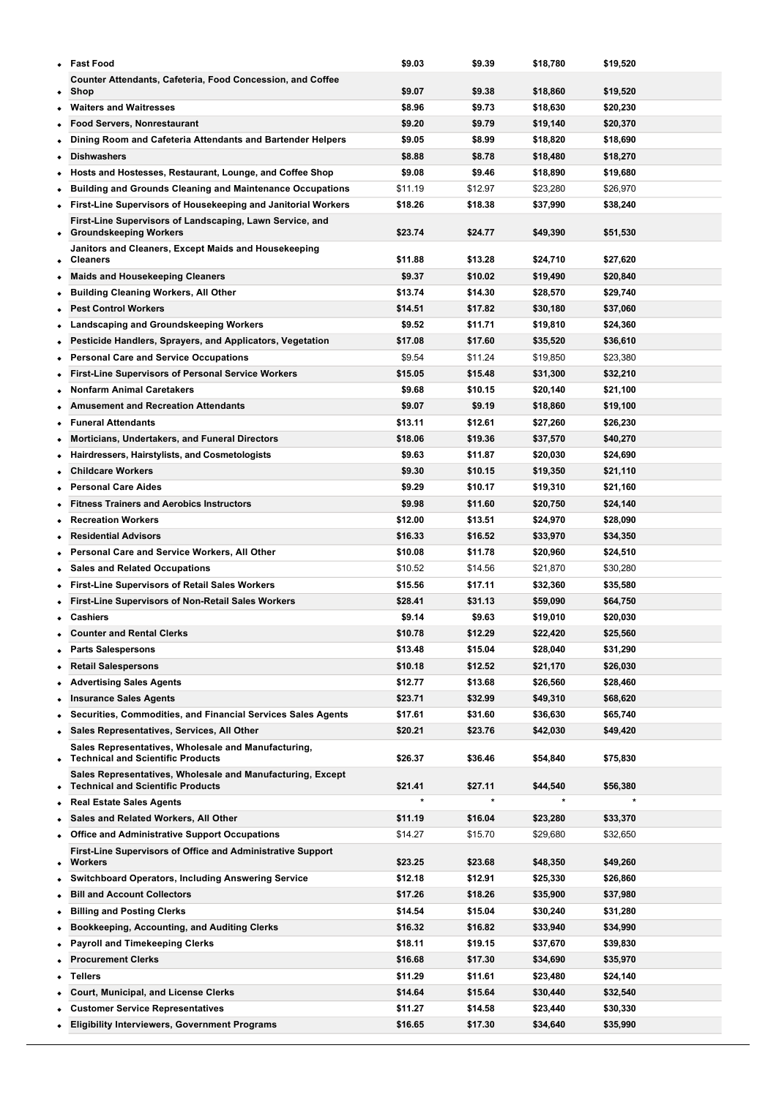| $\bullet$ | <b>Fast Food</b>                                                                                       | \$9.03  | \$9.39  | \$18,780 | \$19,520 |
|-----------|--------------------------------------------------------------------------------------------------------|---------|---------|----------|----------|
| ٠         | <b>Counter Attendants, Cafeteria, Food Concession, and Coffee</b><br>Shop                              | \$9.07  | \$9.38  | \$18,860 | \$19,520 |
|           | <b>Waiters and Waitresses</b>                                                                          | \$8.96  | \$9.73  | \$18,630 | \$20,230 |
|           | <b>Food Servers, Nonrestaurant</b>                                                                     | \$9.20  | \$9.79  | \$19,140 | \$20,370 |
| ٠         | Dining Room and Cafeteria Attendants and Bartender Helpers                                             | \$9.05  | \$8.99  | \$18,820 | \$18,690 |
|           | <b>Dishwashers</b>                                                                                     | \$8.88  | \$8.78  | \$18,480 | \$18,270 |
|           | Hosts and Hostesses, Restaurant, Lounge, and Coffee Shop                                               | \$9.08  | \$9.46  | \$18,890 | \$19,680 |
| ٠         | <b>Building and Grounds Cleaning and Maintenance Occupations</b>                                       | \$11.19 | \$12.97 | \$23,280 | \$26,970 |
| ٠         | First-Line Supervisors of Housekeeping and Janitorial Workers                                          | \$18.26 | \$18.38 | \$37,990 | \$38,240 |
| ٠         | First-Line Supervisors of Landscaping, Lawn Service, and<br><b>Groundskeeping Workers</b>              | \$23.74 | \$24.77 | \$49,390 | \$51,530 |
| ٠         | Janitors and Cleaners, Except Maids and Housekeeping<br><b>Cleaners</b>                                | \$11.88 | \$13.28 | \$24,710 | \$27,620 |
| ٠         | <b>Maids and Housekeeping Cleaners</b>                                                                 | \$9.37  | \$10.02 | \$19,490 | \$20,840 |
| ٠         | <b>Building Cleaning Workers, All Other</b>                                                            | \$13.74 | \$14.30 | \$28,570 | \$29,740 |
| ٠         | <b>Pest Control Workers</b>                                                                            | \$14.51 | \$17.82 | \$30,180 | \$37,060 |
| ٠         | Landscaping and Groundskeeping Workers                                                                 | \$9.52  | \$11.71 | \$19,810 | \$24,360 |
| ٠         | Pesticide Handlers, Sprayers, and Applicators, Vegetation                                              | \$17.08 | \$17.60 | \$35,520 | \$36,610 |
| $\bullet$ | <b>Personal Care and Service Occupations</b>                                                           | \$9.54  | \$11.24 | \$19,850 | \$23,380 |
|           | <b>First-Line Supervisors of Personal Service Workers</b>                                              | \$15.05 | \$15.48 | \$31,300 | \$32,210 |
|           | <b>Nonfarm Animal Caretakers</b>                                                                       | \$9.68  | \$10.15 | \$20,140 | \$21,100 |
|           | <b>Amusement and Recreation Attendants</b>                                                             | \$9.07  | \$9.19  | \$18,860 | \$19,100 |
|           | <b>Funeral Attendants</b>                                                                              | \$13.11 | \$12.61 | \$27,260 | \$26,230 |
| ٠         | Morticians, Undertakers, and Funeral Directors                                                         | \$18.06 | \$19.36 | \$37,570 | \$40,270 |
| ٠         | Hairdressers, Hairstylists, and Cosmetologists                                                         | \$9.63  | \$11.87 | \$20,030 | \$24,690 |
|           | <b>Childcare Workers</b>                                                                               | \$9.30  | \$10.15 | \$19,350 | \$21,110 |
| ٠         | <b>Personal Care Aides</b>                                                                             | \$9.29  | \$10.17 | \$19,310 | \$21,160 |
| ٠         | <b>Fitness Trainers and Aerobics Instructors</b>                                                       | \$9.98  | \$11.60 | \$20,750 | \$24,140 |
| ٠         | <b>Recreation Workers</b>                                                                              | \$12.00 | \$13.51 | \$24,970 | \$28,090 |
| ٠         | <b>Residential Advisors</b>                                                                            | \$16.33 | \$16.52 | \$33,970 | \$34,350 |
| ٠         | Personal Care and Service Workers, All Other                                                           | \$10.08 | \$11.78 | \$20,960 | \$24,510 |
|           | <b>Sales and Related Occupations</b>                                                                   | \$10.52 | \$14.56 | \$21,870 | \$30,280 |
|           | <b>First-Line Supervisors of Retail Sales Workers</b>                                                  | \$15.56 | \$17.11 | \$32,360 | \$35,580 |
|           | <b>First-Line Supervisors of Non-Retail Sales Workers</b>                                              | \$28.41 | \$31.13 | \$59,090 | \$64,750 |
|           | <b>Cashiers</b>                                                                                        | \$9.14  | \$9.63  | \$19,010 | \$20,030 |
|           | <b>Counter and Rental Clerks</b>                                                                       | \$10.78 | \$12.29 | \$22.420 | \$25,560 |
| ٠         | <b>Parts Salespersons</b>                                                                              | \$13.48 | \$15.04 | \$28,040 | \$31,290 |
|           | <b>Retail Salespersons</b>                                                                             | \$10.18 | \$12.52 | \$21,170 | \$26,030 |
|           | <b>Advertising Sales Agents</b>                                                                        | \$12.77 | \$13.68 | \$26,560 | \$28,460 |
| ٠         | <b>Insurance Sales Agents</b>                                                                          | \$23.71 | \$32.99 | \$49,310 | \$68,620 |
|           | Securities, Commodities, and Financial Services Sales Agents                                           | \$17.61 | \$31.60 | \$36,630 | \$65,740 |
| ٠         | Sales Representatives, Services, All Other                                                             | \$20.21 | \$23.76 | \$42,030 | \$49,420 |
| ٠         | Sales Representatives, Wholesale and Manufacturing,<br><b>Technical and Scientific Products</b>        | \$26.37 | \$36.46 | \$54,840 | \$75,830 |
| ٠         | Sales Representatives, Wholesale and Manufacturing, Except<br><b>Technical and Scientific Products</b> | \$21.41 | \$27.11 | \$44,540 | \$56,380 |
| ٠         | <b>Real Estate Sales Agents</b>                                                                        | $\star$ | $\star$ | *        | $\star$  |
| ٠         | Sales and Related Workers, All Other                                                                   | \$11.19 | \$16.04 | \$23,280 | \$33,370 |
| ٠         | <b>Office and Administrative Support Occupations</b>                                                   | \$14.27 | \$15.70 | \$29,680 | \$32,650 |
| ٠         | First-Line Supervisors of Office and Administrative Support<br>Workers                                 | \$23.25 | \$23.68 | \$48,350 | \$49,260 |
| ٠         | <b>Switchboard Operators, Including Answering Service</b>                                              | \$12.18 | \$12.91 | \$25,330 | \$26,860 |
| ٠         | <b>Bill and Account Collectors</b>                                                                     | \$17.26 | \$18.26 | \$35,900 | \$37,980 |
| ٠         | <b>Billing and Posting Clerks</b>                                                                      | \$14.54 | \$15.04 | \$30,240 | \$31,280 |
| ٠         | <b>Bookkeeping, Accounting, and Auditing Clerks</b>                                                    | \$16.32 | \$16.82 | \$33,940 | \$34,990 |
| ٠         | <b>Payroll and Timekeeping Clerks</b>                                                                  | \$18.11 | \$19.15 | \$37,670 | \$39,830 |
|           | <b>Procurement Clerks</b>                                                                              | \$16.68 | \$17.30 | \$34,690 | \$35,970 |
| ٠         | <b>Tellers</b>                                                                                         | \$11.29 | \$11.61 | \$23,480 | \$24,140 |
|           | Court, Municipal, and License Clerks                                                                   | \$14.64 | \$15.64 | \$30,440 | \$32,540 |
|           | <b>Customer Service Representatives</b>                                                                | \$11.27 | \$14.58 | \$23,440 | \$30,330 |
|           | <b>Eligibility Interviewers, Government Programs</b>                                                   | \$16.65 | \$17.30 | \$34,640 | \$35,990 |

**File Clerks \$18.44 \$17.71 \$38,360 \$36,830**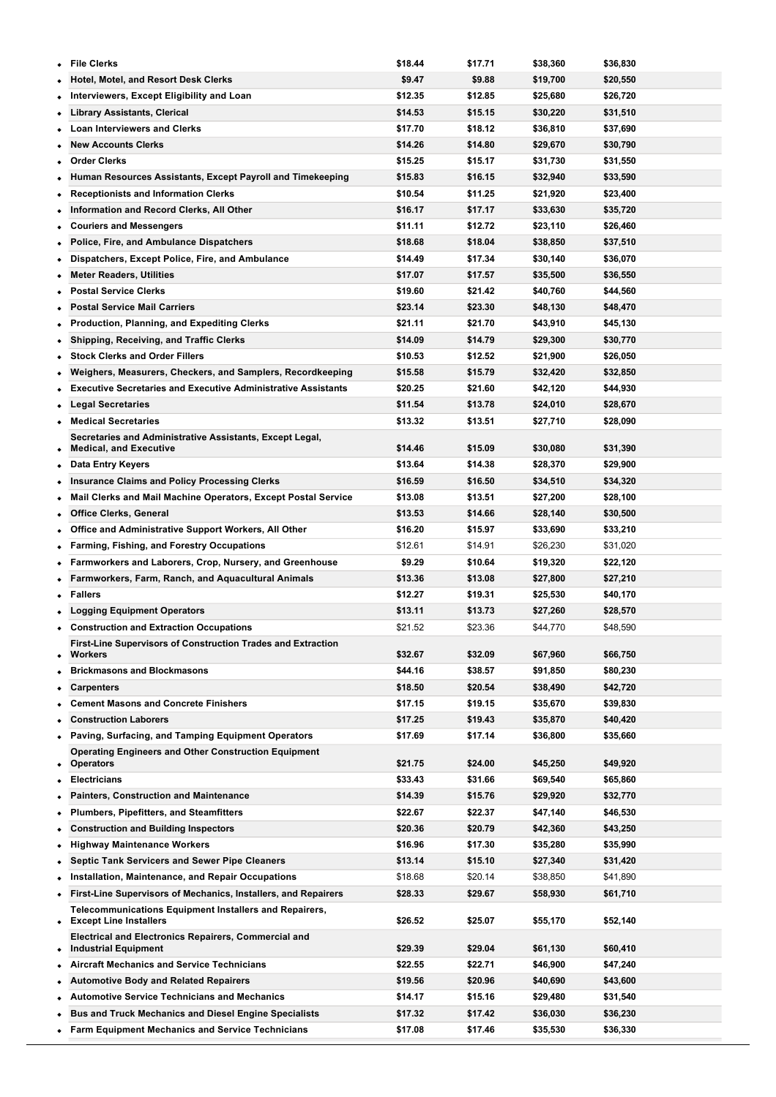| ٠         | <b>File Clerks</b>                                                                         | \$18.44            | \$17.71            | \$38,360             | \$36,830             |
|-----------|--------------------------------------------------------------------------------------------|--------------------|--------------------|----------------------|----------------------|
|           | Hotel, Motel, and Resort Desk Clerks                                                       | \$9.47             | \$9.88             | \$19,700             | \$20,550             |
|           | Interviewers, Except Eligibility and Loan                                                  | \$12.35            | \$12.85            | \$25,680             | \$26,720             |
|           | <b>Library Assistants, Clerical</b>                                                        | \$14.53            | \$15.15            | \$30,220             | \$31,510             |
| ٠         | <b>Loan Interviewers and Clerks</b>                                                        | \$17.70            | \$18.12            | \$36,810             | \$37,690             |
|           | <b>New Accounts Clerks</b>                                                                 | \$14.26            | \$14.80            | \$29,670             | \$30,790             |
|           | <b>Order Clerks</b>                                                                        | \$15.25            | \$15.17            | \$31,730             | \$31,550             |
| ٠         | Human Resources Assistants, Except Payroll and Timekeeping                                 | \$15.83            | \$16.15            | \$32,940             | \$33,590             |
|           | <b>Receptionists and Information Clerks</b>                                                | \$10.54            | \$11.25            | \$21,920             | \$23,400             |
| ٠         | Information and Record Clerks, All Other                                                   | \$16.17            | \$17.17            | \$33,630             | \$35,720             |
| ٠         | <b>Couriers and Messengers</b>                                                             | \$11.11            | \$12.72            | \$23,110             | \$26,460             |
|           | Police, Fire, and Ambulance Dispatchers                                                    | \$18.68            | \$18.04            | \$38,850             | \$37,510             |
|           | Dispatchers, Except Police, Fire, and Ambulance                                            | \$14.49            | \$17.34            | \$30,140             | \$36,070             |
| ٠         | <b>Meter Readers, Utilities</b>                                                            | \$17.07            | \$17.57            | \$35,500             | \$36,550             |
| ٠         | <b>Postal Service Clerks</b>                                                               | \$19.60            | \$21.42            | \$40,760             | \$44,560             |
|           | <b>Postal Service Mail Carriers</b>                                                        | \$23.14            | \$23.30            | \$48,130             | \$48,470             |
| ٠         | <b>Production, Planning, and Expediting Clerks</b>                                         | \$21.11            | \$21.70            | \$43,910             | \$45,130             |
| ٠         | <b>Shipping, Receiving, and Traffic Clerks</b>                                             | \$14.09            | \$14.79            | \$29,300             | \$30,770             |
|           | <b>Stock Clerks and Order Fillers</b>                                                      | \$10.53            | \$12.52            | \$21,900             | \$26,050             |
| ٠         | Weighers, Measurers, Checkers, and Samplers, Recordkeeping                                 | \$15.58            | \$15.79            | \$32,420             | \$32,850             |
| ٠         | <b>Executive Secretaries and Executive Administrative Assistants</b>                       | \$20.25            | \$21.60            | \$42,120             | \$44,930             |
|           | <b>Legal Secretaries</b>                                                                   | \$11.54            | \$13.78            | \$24,010             | \$28,670             |
| ٠         | <b>Medical Secretaries</b>                                                                 | \$13.32            | \$13.51            | \$27,710             | \$28,090             |
|           | Secretaries and Administrative Assistants, Except Legal,                                   |                    |                    |                      |                      |
| ٠         | <b>Medical, and Executive</b>                                                              | \$14.46            | \$15.09            | \$30,080             | \$31,390             |
| ٠         | Data Entry Keyers                                                                          | \$13.64            | \$14.38            | \$28,370             | \$29,900             |
|           | <b>Insurance Claims and Policy Processing Clerks</b>                                       | \$16.59            | \$16.50            | \$34,510             | \$34,320             |
| ٠         | Mail Clerks and Mail Machine Operators, Except Postal Service                              | \$13.08            | \$13.51            | \$27,200             | \$28,100             |
| ٠         | <b>Office Clerks, General</b>                                                              | \$13.53            | \$14.66            | \$28,140             | \$30,500             |
|           | Office and Administrative Support Workers, All Other                                       | \$16.20            | \$15.97            | \$33,690             | \$33,210             |
| ٠         | <b>Farming, Fishing, and Forestry Occupations</b>                                          | \$12.61            | \$14.91            | \$26,230             | \$31,020             |
| ٠         | Farmworkers and Laborers, Crop, Nursery, and Greenhouse                                    | \$9.29             | \$10.64            | \$19,320             | \$22,120             |
|           | Farmworkers, Farm, Ranch, and Aquacultural Animals                                         | \$13.36            | \$13.08            | \$27,800             | \$27,210             |
| ٠         | Fallers                                                                                    | \$12.27            | \$19.31            | \$25,530             | \$40,170             |
|           | <b>Logging Equipment Operators</b>                                                         | \$13.11            | \$13.73            | \$27,260             | \$28,570             |
|           | <b>Construction and Extraction Occupations</b>                                             | \$21.52            | \$23.36            | \$44,770             | \$48,590             |
|           | First-Line Supervisors of Construction Trades and Extraction<br><b>Workers</b>             | \$32.67            | \$32.09            | \$67,960             | \$66,750             |
|           | <b>Brickmasons and Blockmasons</b>                                                         | \$44.16            | \$38.57            | \$91,850             | \$80,230             |
|           | <b>Carpenters</b>                                                                          | \$18.50            | \$20.54            | \$38,490             | \$42,720             |
| ٠         | <b>Cement Masons and Concrete Finishers</b>                                                |                    |                    |                      |                      |
|           | <b>Construction Laborers</b>                                                               | \$17.15<br>\$17.25 | \$19.15<br>\$19.43 | \$35,670<br>\$35,870 | \$39,830<br>\$40,420 |
|           | Paving, Surfacing, and Tamping Equipment Operators                                         | \$17.69            | \$17.14            | \$36,800             | \$35,660             |
|           | <b>Operating Engineers and Other Construction Equipment</b>                                |                    |                    |                      |                      |
| ٠         | <b>Operators</b>                                                                           | \$21.75            | \$24.00            | \$45,250             | \$49,920             |
| ٠         | <b>Electricians</b>                                                                        | \$33.43            | \$31.66            | \$69,540             | \$65,860             |
|           | <b>Painters, Construction and Maintenance</b>                                              | \$14.39            | \$15.76            | \$29,920             | \$32,770             |
| ٠         | <b>Plumbers, Pipefitters, and Steamfitters</b>                                             | \$22.67            | \$22.37            | \$47,140             | \$46,530             |
|           | <b>Construction and Building Inspectors</b>                                                | \$20.36            | \$20.79            | \$42,360             | \$43,250             |
|           | <b>Highway Maintenance Workers</b>                                                         | \$16.96            | \$17.30            | \$35,280             | \$35,990             |
| ٠         | <b>Septic Tank Servicers and Sewer Pipe Cleaners</b>                                       | \$13.14            | \$15.10            | \$27,340             | \$31,420             |
| ٠         | Installation, Maintenance, and Repair Occupations                                          | \$18.68            | \$20.14            | \$38,850             | \$41,890             |
|           | First-Line Supervisors of Mechanics, Installers, and Repairers                             | \$28.33            | \$29.67            | \$58,930             | \$61,710             |
| ٠         | Telecommunications Equipment Installers and Repairers,<br><b>Except Line Installers</b>    | \$26.52            | \$25.07            | \$55,170             | \$52,140             |
| $\bullet$ | <b>Electrical and Electronics Repairers, Commercial and</b><br><b>Industrial Equipment</b> | \$29.39            | \$29.04            | \$61,130             | \$60,410             |
| ٠         | <b>Aircraft Mechanics and Service Technicians</b>                                          | \$22.55            | \$22.71            | \$46,900             | \$47,240             |
|           | <b>Automotive Body and Related Repairers</b>                                               | \$19.56            | \$20.96            | \$40,690             | \$43,600             |
|           | <b>Automotive Service Technicians and Mechanics</b>                                        | \$14.17            | \$15.16            | \$29,480             | \$31,540             |
| ٠         | <b>Bus and Truck Mechanics and Diesel Engine Specialists</b>                               | \$17.32            | \$17.42            | \$36,030             | \$36,230             |
|           | • Farm Equipment Mechanics and Service Technicians                                         | \$17.08            | \$17.46            | \$35,530             | \$36,330             |

**Mobile Heavy Equipment Mechanics, Except Engines \$20.38 \$22.45 \$42,400 \$46,690**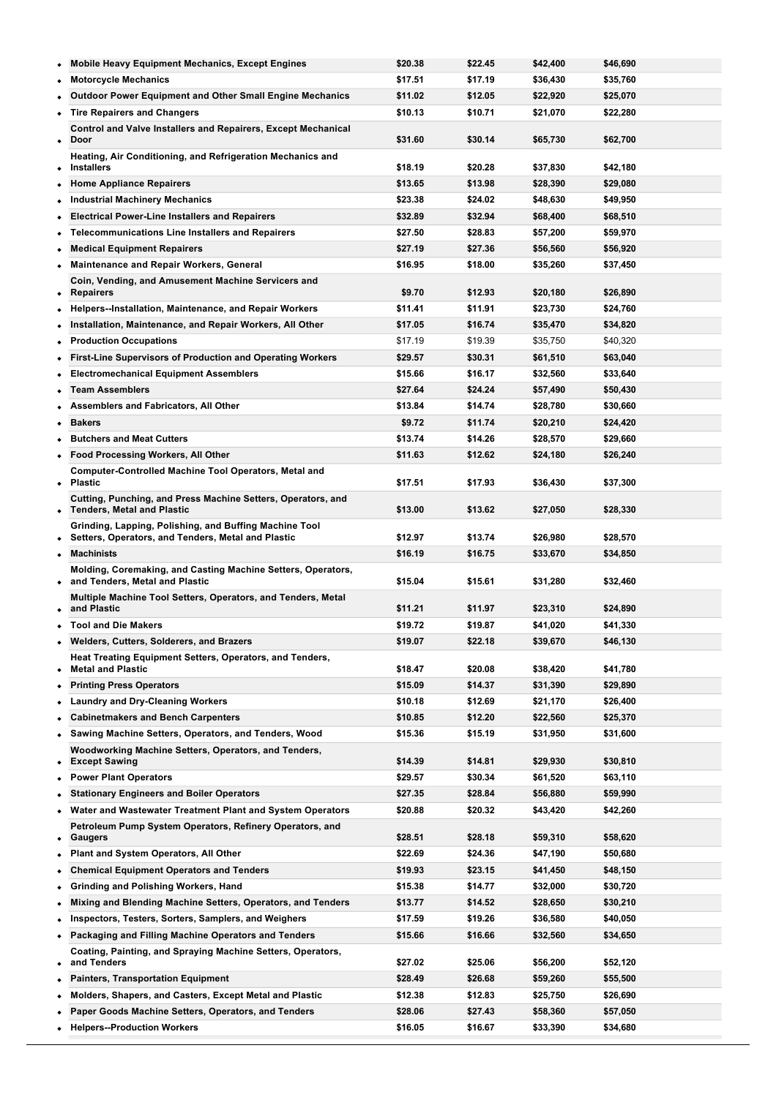|           | <b>Mobile Heavy Equipment Mechanics, Except Engines</b>                                                      | \$20.38            | \$22.45            | \$42,400             | \$46,690             |
|-----------|--------------------------------------------------------------------------------------------------------------|--------------------|--------------------|----------------------|----------------------|
|           | <b>Motorcycle Mechanics</b>                                                                                  | \$17.51            | \$17.19            | \$36,430             | \$35,760             |
|           | <b>Outdoor Power Equipment and Other Small Engine Mechanics</b>                                              | \$11.02            | \$12.05            | \$22,920             | \$25,070             |
|           | <b>Tire Repairers and Changers</b>                                                                           | \$10.13            | \$10.71            | \$21,070             | \$22,280             |
| $\bullet$ | <b>Control and Valve Installers and Repairers, Except Mechanical</b><br>Door                                 | \$31.60            | \$30.14            | \$65,730             | \$62,700             |
| ٠         | Heating, Air Conditioning, and Refrigeration Mechanics and<br><b>Installers</b>                              | \$18.19            | \$20.28            | \$37,830             | \$42,180             |
| ٠         | <b>Home Appliance Repairers</b>                                                                              | \$13.65            | \$13.98            | \$28,390             | \$29,080             |
|           | <b>Industrial Machinery Mechanics</b>                                                                        | \$23.38            | \$24.02            | \$48,630             | \$49,950             |
|           | <b>Electrical Power-Line Installers and Repairers</b>                                                        | \$32.89            | \$32.94            | \$68,400             | \$68,510             |
| ٠         | <b>Telecommunications Line Installers and Repairers</b>                                                      | \$27.50            | \$28.83            | \$57,200             | \$59,970             |
| ٠         | <b>Medical Equipment Repairers</b>                                                                           | \$27.19            | \$27.36            | \$56,560             | \$56,920             |
| ٠         | Maintenance and Repair Workers, General                                                                      | \$16.95            | \$18.00            | \$35,260             | \$37,450             |
| $\bullet$ | Coin, Vending, and Amusement Machine Servicers and<br><b>Repairers</b>                                       | \$9.70             | \$12.93            | \$20,180             | \$26,890             |
| ٠         | Helpers--Installation, Maintenance, and Repair Workers                                                       | \$11.41            | \$11.91            | \$23,730             | \$24,760             |
| ٠         | Installation, Maintenance, and Repair Workers, All Other                                                     | \$17.05            | \$16.74            | \$35,470             | \$34,820             |
|           | <b>Production Occupations</b>                                                                                | \$17.19            | \$19.39            | \$35,750             | \$40,320             |
| ٠         | <b>First-Line Supervisors of Production and Operating Workers</b>                                            | \$29.57            | \$30.31            | \$61,510             | \$63,040             |
| ٠         | <b>Electromechanical Equipment Assemblers</b>                                                                | \$15.66            | \$16.17            | \$32,560             | \$33,640             |
|           | <b>Team Assemblers</b>                                                                                       | \$27.64            | \$24.24            | \$57,490             | \$50,430             |
|           | Assemblers and Fabricators, All Other                                                                        | \$13.84            | \$14.74            | \$28,780             | \$30,660             |
| $\bullet$ | <b>Bakers</b>                                                                                                | \$9.72             | \$11.74            | \$20,210             | \$24,420             |
|           | <b>Butchers and Meat Cutters</b>                                                                             | \$13.74            | \$14.26            | \$28,570             | \$29,660             |
|           | <b>Food Processing Workers, All Other</b>                                                                    | \$11.63            | \$12.62            | \$24,180             | \$26,240             |
|           | <b>Computer-Controlled Machine Tool Operators, Metal and</b><br>• Plastic                                    | \$17.51            | \$17.93            | \$36,430             | \$37,300             |
|           | Cutting, Punching, and Press Machine Setters, Operators, and<br><b>Tenders, Metal and Plastic</b>            | \$13.00            | \$13.62            | \$27,050             | \$28,330             |
| ٠         | Grinding, Lapping, Polishing, and Buffing Machine Tool<br>Setters, Operators, and Tenders, Metal and Plastic | \$12.97            | \$13.74            | \$26,980             | \$28,570             |
|           |                                                                                                              |                    |                    |                      |                      |
| $\bullet$ | <b>Machinists</b>                                                                                            | \$16.19            | \$16.75            | \$33,670             | \$34,850             |
| ٠         | Molding, Coremaking, and Casting Machine Setters, Operators,<br>and Tenders, Metal and Plastic               | \$15.04            | \$15.61            | \$31,280             | \$32,460             |
|           | Multiple Machine Tool Setters, Operators, and Tenders, Metal<br>and Plastic                                  | \$11.21            | \$11.97            | \$23,310             | \$24,890             |
|           | <b>Tool and Die Makers</b>                                                                                   | \$19.72            | \$19.87            | \$41,020             | \$41,330             |
|           | Welders, Cutters, Solderers, and Brazers                                                                     | \$19.07            | \$22.18            | \$39,670             | \$46,130             |
| ٠         | Heat Treating Equipment Setters, Operators, and Tenders,<br><b>Metal and Plastic</b>                         | \$18.47            | \$20.08            | \$38,420             | \$41,780             |
| ٠         | <b>Printing Press Operators</b>                                                                              | \$15.09            | \$14.37            | \$31,390             | \$29,890             |
|           | <b>Laundry and Dry-Cleaning Workers</b>                                                                      | \$10.18            | \$12.69            | \$21,170             | \$26,400             |
|           | <b>Cabinetmakers and Bench Carpenters</b>                                                                    | \$10.85            | \$12.20            | \$22,560             | \$25,370             |
|           | Sawing Machine Setters, Operators, and Tenders, Wood                                                         | \$15.36            | \$15.19            | \$31,950             | \$31,600             |
| ٠         | Woodworking Machine Setters, Operators, and Tenders,<br><b>Except Sawing</b>                                 | \$14.39            | \$14.81            | \$29,930             | \$30,810             |
| ٠         | <b>Power Plant Operators</b>                                                                                 | \$29.57            | \$30.34            | \$61,520             | \$63,110             |
|           | <b>Stationary Engineers and Boiler Operators</b>                                                             | \$27.35            | \$28.84            | \$56,880             | \$59,990             |
|           | Water and Wastewater Treatment Plant and System Operators                                                    | \$20.88            | \$20.32            | \$43,420             | \$42,260             |
| ٠         | Petroleum Pump System Operators, Refinery Operators, and<br>Gaugers                                          | \$28.51            | \$28.18            | \$59,310             | \$58,620             |
| ٠         | Plant and System Operators, All Other                                                                        | \$22.69            | \$24.36            | \$47,190             | \$50,680             |
|           | <b>Chemical Equipment Operators and Tenders</b>                                                              | \$19.93            | \$23.15            | \$41,450             | \$48,150             |
|           | Grinding and Polishing Workers, Hand                                                                         | \$15.38            | \$14.77            | \$32,000             | \$30,720             |
| ٠         | Mixing and Blending Machine Setters, Operators, and Tenders                                                  | \$13.77            | \$14.52            | \$28,650             | \$30,210             |
| ٠         | Inspectors, Testers, Sorters, Samplers, and Weighers                                                         | \$17.59            | \$19.26            | \$36,580             | \$40,050             |
|           | Packaging and Filling Machine Operators and Tenders                                                          | \$15.66            | \$16.66            | \$32,560             | \$34,650             |
|           | Coating, Painting, and Spraying Machine Setters, Operators,                                                  |                    |                    |                      |                      |
| ٠         | and Tenders                                                                                                  | \$27.02            | \$25.06            | \$56,200             | \$52,120             |
|           | <b>Painters, Transportation Equipment</b>                                                                    | \$28.49            | \$26.68            | \$59,260             | \$55,500             |
|           | Molders, Shapers, and Casters, Except Metal and Plastic                                                      | \$12.38            | \$12.83            | \$25,750             | \$26,690             |
|           | Paper Goods Machine Setters, Operators, and Tenders<br><b>Helpers--Production Workers</b>                    | \$28.06<br>\$16.05 | \$27.43<br>\$16.67 | \$58,360<br>\$33,390 | \$57,050<br>\$34,680 |

**Production Workers, All Other \$13.94 \$14.88 \$28,990 \$30,960**